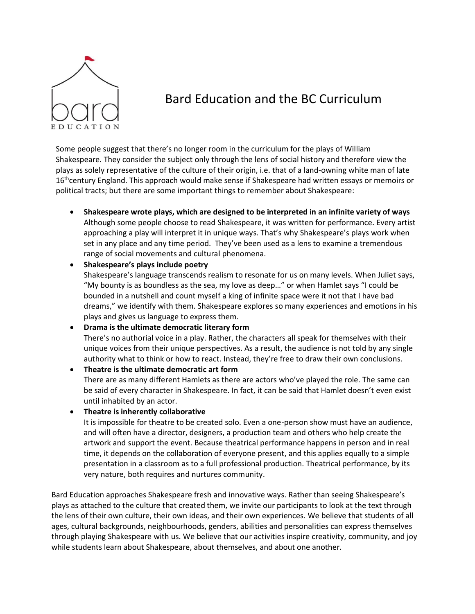

# Bard Education and the BC Curriculum

Some people suggest that there's no longer room in the curriculum for the plays of William Shakespeare. They consider the subject only through the lens of social history and therefore view the plays as solely representative of the culture of their origin, i.e. that of a land-owning white man of late 16<sup>th</sup>century England. This approach would make sense if Shakespeare had written essays or memoirs or political tracts; but there are some important things to remember about Shakespeare:

• **Shakespeare wrote plays, which are designed to be interpreted in an infinite variety of ways** Although some people choose to read Shakespeare, it was written for performance. Every artist approaching a play will interpret it in unique ways. That's why Shakespeare's plays work when set in any place and any time period. They've been used as a lens to examine a tremendous range of social movements and cultural phenomena.

### • **Shakespeare's plays include poetry**

Shakespeare's language transcends realism to resonate for us on many levels. When Juliet says, "My bounty is as boundless as the sea, my love as deep…" or when Hamlet says "I could be bounded in a nutshell and count myself a king of infinite space were it not that I have bad dreams," we identify with them. Shakespeare explores so many experiences and emotions in his plays and gives us language to express them.

• **Drama is the ultimate democratic literary form**

There's no authorial voice in a play. Rather, the characters all speak for themselves with their unique voices from their unique perspectives. As a result, the audience is not told by any single authority what to think or how to react. Instead, they're free to draw their own conclusions.

• **Theatre is the ultimate democratic art form**

There are as many different Hamlets as there are actors who've played the role. The same can be said of every character in Shakespeare. In fact, it can be said that Hamlet doesn't even exist until inhabited by an actor.

### • **Theatre is inherently collaborative**

It is impossible for theatre to be created solo. Even a one-person show must have an audience, and will often have a director, designers, a production team and others who help create the artwork and support the event. Because theatrical performance happens in person and in real time, it depends on the collaboration of everyone present, and this applies equally to a simple presentation in a classroom as to a full professional production. Theatrical performance, by its very nature, both requires and nurtures community.

Bard Education approaches Shakespeare fresh and innovative ways. Rather than seeing Shakespeare's plays as attached to the culture that created them, we invite our participants to look at the text through the lens of their own culture, their own ideas, and their own experiences. We believe that students of all ages, cultural backgrounds, neighbourhoods, genders, abilities and personalities can express themselves through playing Shakespeare with us. We believe that our activities inspire creativity, community, and joy while students learn about Shakespeare, about themselves, and about one another.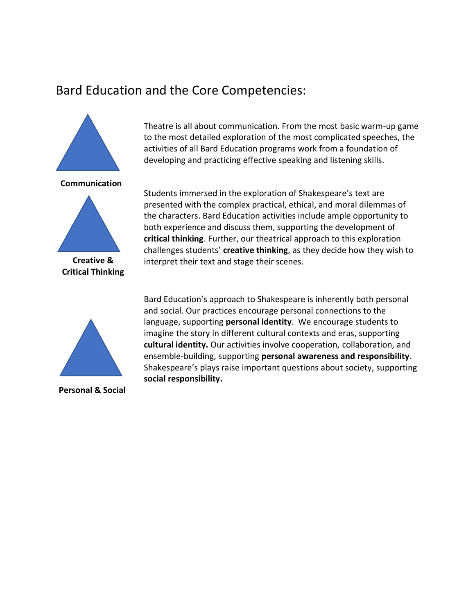## Bard Education and the Core Competencies:



**Critical Thinking**

Theatre is all about communication. From the most basic warm-up game to the most detailed exploration of the most complicated speeches, the activities of all Bard Education programs work from a foundation of developing and practicing effective speaking and listening skills.

Students immersed in the exploration of Shakespeare's text are presented with the complex practical, ethical, and moral dilemmas of the characters. Bard Education activities include ample opportunity to both experience and discuss them, supporting the development of **critical thinking**. Further, our theatrical approach to this exploration challenges students' **creative thinking**, as they decide how they wish to interpret their text and stage their scenes.



**Personal & Social**

Bard Education's approach to Shakespeare is inherently both personal and social. Our practices encourage personal connections to the language, supporting **personal identity**. We encourage students to imagine the story in different cultural contexts and eras, supporting **cultural identity.** Our activities involve cooperation, collaboration, and ensemble-building, supporting **personal awareness and responsibility**. Shakespeare's plays raise important questions about society, supporting **social responsibility.**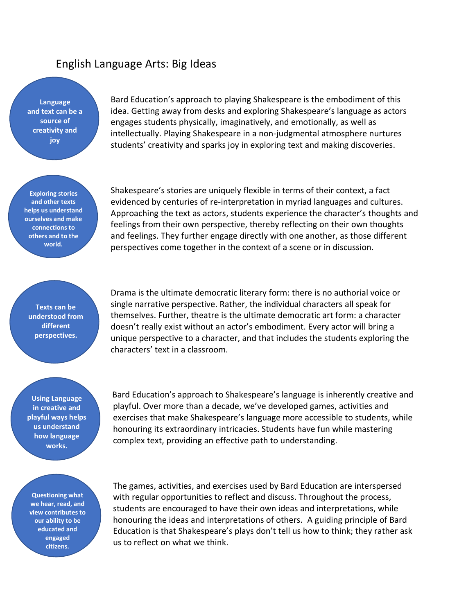## English Language Arts: Big Ideas

**Language and text can be a source of creativity and joy**

Bard Education's approach to playing Shakespeare is the embodiment of this idea. Getting away from desks and exploring Shakespeare's language as actors engages students physically, imaginatively, and emotionally, as well as intellectually. Playing Shakespeare in a non-judgmental atmosphere nurtures students' creativity and sparks joy in exploring text and making discoveries.

**Exploring stories and other texts helps us understand ourselves and make connections to others and to the world.**

Shakespeare's stories are uniquely flexible in terms of their context, a fact evidenced by centuries of re-interpretation in myriad languages and cultures. Approaching the text as actors, students experience the character's thoughts and feelings from their own perspective, thereby reflecting on their own thoughts and feelings. They further engage directly with one another, as those different perspectives come together in the context of a scene or in discussion.

**Texts can be understood from different perspectives.**

Drama is the ultimate democratic literary form: there is no authorial voice or single narrative perspective. Rather, the individual characters all speak for themselves. Further, theatre is the ultimate democratic art form: a character doesn't really exist without an actor's embodiment. Every actor will bring a unique perspective to a character, and that includes the students exploring the characters' text in a classroom.

**Using Language in creative and playful ways helps us understand how language works.**

 Bard Education's approach to Shakespeare's language is inherently creative and playful. Over more than a decade, we've developed games, activities and exercises that make Shakespeare's language more accessible to students, while honouring its extraordinary intricacies. Students have fun while mastering complex text, providing an effective path to understanding.

**Questioning what we hear, read, and view contributes to our ability to be educated and engaged citizens.**

The games, activities, and exercises used by Bard Education are interspersed with regular opportunities to reflect and discuss. Throughout the process, students are encouraged to have their own ideas and interpretations, while honouring the ideas and interpretations of others. A guiding principle of Bard Education is that Shakespeare's plays don't tell us how to think; they rather ask us to reflect on what we think.